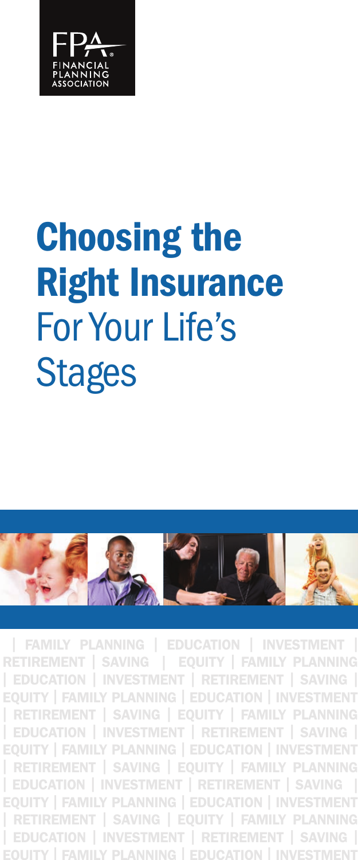

# Choosing the Right Insurance For Your Life's Stages



| FAMILY PLANNING | EDUCATION | INVESTMENT RETIREMENT | SAVING | EQUITY | FAMILY PLANNING | EDUCATION | INVESTMENT | RETIREMENT | SAVING | EQUITY | FAMILY PLANNING | EDUCATION | INVESTMENT | RETIREMENT | SAVING | EQUITY | FAMILY PLANNING | EDUCATION | INVESTMENT | RETIREMENT | SAVING | EQUITY | FAMILY PLANNING | EDUCATION | INVESTMENT | RETIREMENT | SAVING | EQUITY | FAMILY PLANNING | EDUCATION | INVESTMENT | RETIREMENT | SAVING | EQUITY | FAMILY PLANNING | EDUCATION | INVESTMENT | RETIREMENT | SAVING | EQUITY | FAMILY PLANNING | EDUCATION | INVESTMENT | RETIREMENT | SAVING | FAMILY PLANNING | EDUCATION | INVESTMENT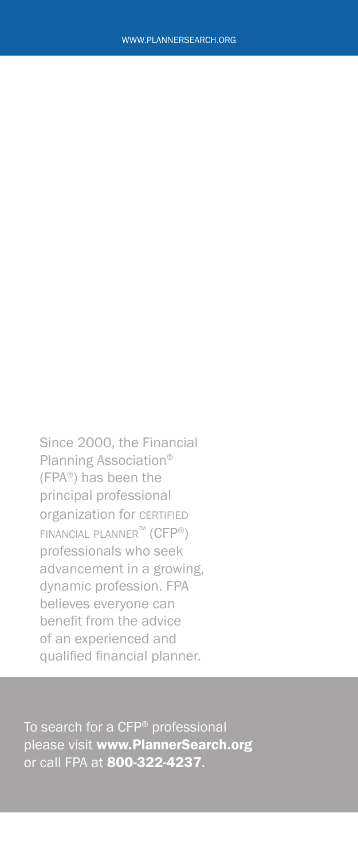Since 2000, the Financial Planning Association® (FPA®) has been the principal professional organization for CERTIFIED financial planner™ (CFP®) professionals who seek advancement in a growing, dynamic profession. FPA believes everyone can benefit from the advice of an experienced and qualified financial planner.

To search for a CFP® professional please visit www.PlannerSearch.org or call FPA at 800-322-4237.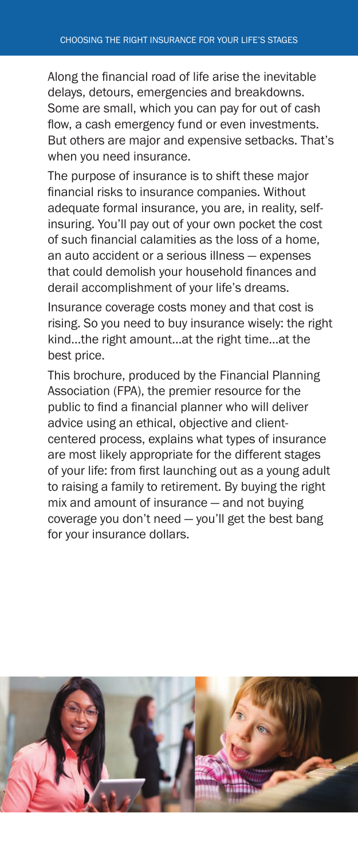Along the financial road of life arise the inevitable delays, detours, emergencies and breakdowns. Some are small, which you can pay for out of cash flow, a cash emergency fund or even investments. But others are major and expensive setbacks. That's when you need insurance.

The purpose of insurance is to shift these major financial risks to insurance companies. Without adequate formal insurance, you are, in reality, selfinsuring. You'll pay out of your own pocket the cost of such financial calamities as the loss of a home, an auto accident or a serious illness — expenses that could demolish your household finances and derail accomplishment of your life's dreams.

Insurance coverage costs money and that cost is rising. So you need to buy insurance wisely: the right kind…the right amount…at the right time…at the best price.

This brochure, produced by the Financial Planning Association (FPA), the premier resource for the public to find a financial planner who will deliver advice using an ethical, objective and clientcentered process, explains what types of insurance are most likely appropriate for the different stages of your life: from first launching out as a young adult to raising a family to retirement. By buying the right mix and amount of insurance — and not buying coverage you don't need — you'll get the best bang for your insurance dollars.

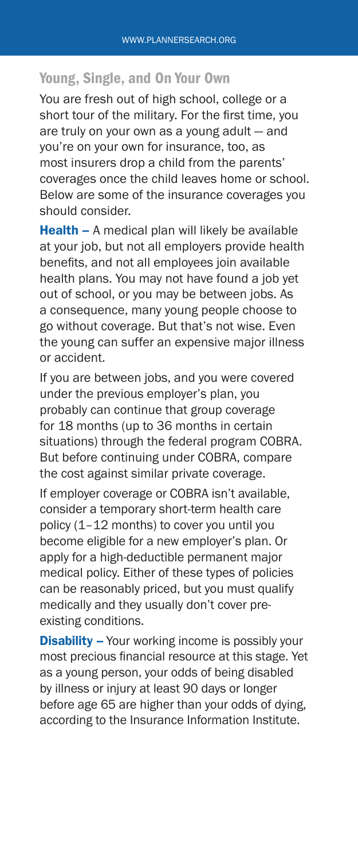## Young, Single, and On Your Own

You are fresh out of high school, college or a short tour of the military. For the first time, you are truly on your own as a young adult — and you're on your own for insurance, too, as most insurers drop a child from the parents' coverages once the child leaves home or school. Below are some of the insurance coverages you should consider.

Health – A medical plan will likely be available at your job, but not all employers provide health benefits, and not all employees join available health plans. You may not have found a job yet out of school, or you may be between jobs. As a consequence, many young people choose to go without coverage. But that's not wise. Even the young can suffer an expensive major illness or accident.

If you are between jobs, and you were covered under the previous employer's plan, you probably can continue that group coverage for 18 months (up to 36 months in certain situations) through the federal program COBRA. But before continuing under COBRA, compare the cost against similar private coverage.

If employer coverage or COBRA isn't available, consider a temporary short-term health care policy (1–12 months) to cover you until you become eligible for a new employer's plan. Or apply for a high-deductible permanent major medical policy. Either of these types of policies can be reasonably priced, but you must qualify medically and they usually don't cover preexisting conditions.

**Disability - Your working income is possibly your** most precious financial resource at this stage. Yet as a young person, your odds of being disabled by illness or injury at least 90 days or longer before age 65 are higher than your odds of dying, according to the Insurance Information Institute.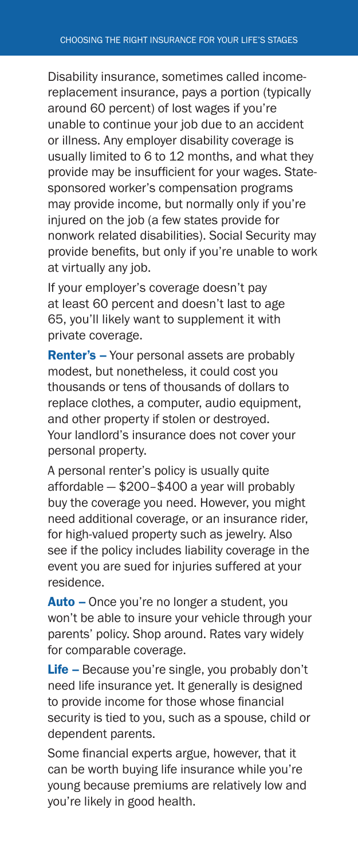Disability insurance, sometimes called incomereplacement insurance, pays a portion (typically around 60 percent) of lost wages if you're unable to continue your job due to an accident or illness. Any employer disability coverage is usually limited to 6 to 12 months, and what they provide may be insufficient for your wages. Statesponsored worker's compensation programs may provide income, but normally only if you're injured on the job (a few states provide for nonwork related disabilities). Social Security may provide benefits, but only if you're unable to work at virtually any job.

If your employer's coverage doesn't pay at least 60 percent and doesn't last to age 65, you'll likely want to supplement it with private coverage.

Renter's – Your personal assets are probably modest, but nonetheless, it could cost you thousands or tens of thousands of dollars to replace clothes, a computer, audio equipment, and other property if stolen or destroyed. Your landlord's insurance does not cover your personal property.

A personal renter's policy is usually quite affordable — \$200–\$400 a year will probably buy the coverage you need. However, you might need additional coverage, or an insurance rider, for high-valued property such as jewelry. Also see if the policy includes liability coverage in the event you are sued for injuries suffered at your residence.

Auto – Once you're no longer a student, you won't be able to insure your vehicle through your parents' policy. Shop around. Rates vary widely for comparable coverage.

Life – Because you're single, you probably don't need life insurance yet. It generally is designed to provide income for those whose financial security is tied to you, such as a spouse, child or dependent parents.

Some financial experts argue, however, that it can be worth buying life insurance while you're young because premiums are relatively low and you're likely in good health.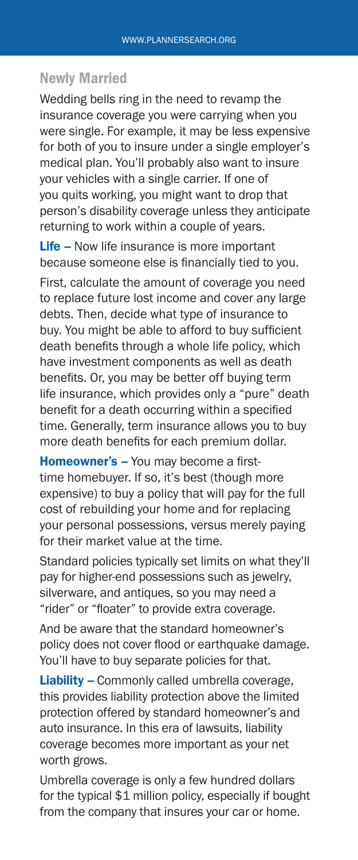## Newly Married

Wedding bells ring in the need to revamp the insurance coverage you were carrying when you were single. For example, it may be less expensive for both of you to insure under a single employer's medical plan. You'll probably also want to insure your vehicles with a single carrier. If one of you quits working, you might want to drop that person's disability coverage unless they anticipate returning to work within a couple of years.

Life - Now life insurance is more important because someone else is financially tied to you.

First, calculate the amount of coverage you need to replace future lost income and cover any large debts. Then, decide what type of insurance to buy. You might be able to afford to buy sufficient death benefits through a whole life policy, which have investment components as well as death benefits. Or, you may be better off buying term life insurance, which provides only a "pure" death benefit for a death occurring within a specified time. Generally, term insurance allows you to buy more death benefits for each premium dollar.

**Homeowner's - You may become a first**time homebuyer. If so, it's best (though more expensive) to buy a policy that will pay for the full cost of rebuilding your home and for replacing your personal possessions, versus merely paying for their market value at the time.

Standard policies typically set limits on what they'll pay for higher-end possessions such as jewelry, silverware, and antiques, so you may need a "rider" or "floater" to provide extra coverage.

And be aware that the standard homeowner's policy does not cover flood or earthquake damage. You'll have to buy separate policies for that.

Liability – Commonly called umbrella coverage, this provides liability protection above the limited protection offered by standard homeowner's and auto insurance. In this era of lawsuits, liability coverage becomes more important as your net worth grows.

Umbrella coverage is only a few hundred dollars for the typical \$1 million policy, especially if bought from the company that insures your car or home.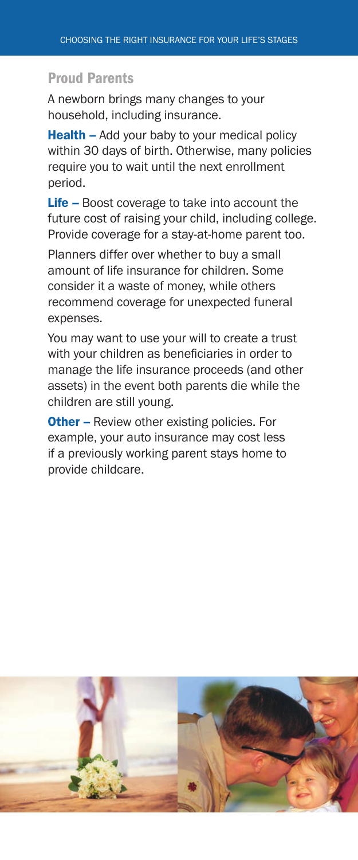# Proud Parents

A newborn brings many changes to your household, including insurance.

**Health –** Add your baby to your medical policy within 30 days of birth. Otherwise, many policies require you to wait until the next enrollment period.

Life – Boost coverage to take into account the future cost of raising your child, including college. Provide coverage for a stay-at-home parent too.

Planners differ over whether to buy a small amount of life insurance for children. Some consider it a waste of money, while others recommend coverage for unexpected funeral expenses.

You may want to use your will to create a trust with your children as beneficiaries in order to manage the life insurance proceeds (and other assets) in the event both parents die while the children are still young.

**Other** – Review other existing policies. For example, your auto insurance may cost less if a previously working parent stays home to provide childcare.

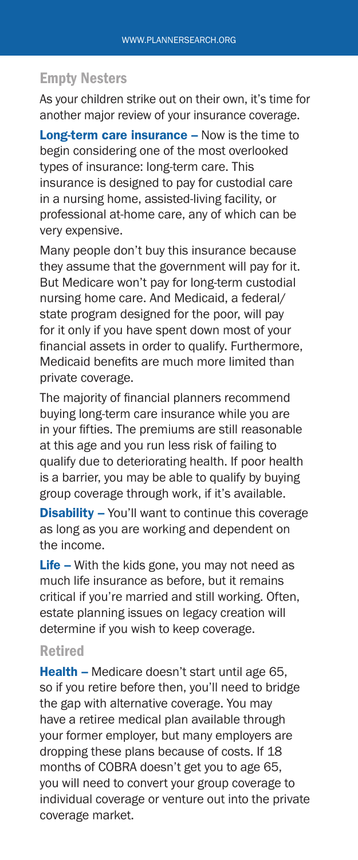## Empty Nesters

As your children strike out on their own, it's time for another major review of your insurance coverage.

Long-term care insurance – Now is the time to begin considering one of the most overlooked types of insurance: long-term care. This insurance is designed to pay for custodial care in a nursing home, assisted-living facility, or professional at-home care, any of which can be very expensive.

Many people don't buy this insurance because they assume that the government will pay for it. But Medicare won't pay for long-term custodial nursing home care. And Medicaid, a federal/ state program designed for the poor, will pay for it only if you have spent down most of your financial assets in order to qualify. Furthermore, Medicaid benefits are much more limited than private coverage.

The majority of financial planners recommend buying long-term care insurance while you are in your fifties. The premiums are still reasonable at this age and you run less risk of failing to qualify due to deteriorating health. If poor health is a barrier, you may be able to qualify by buying group coverage through work, if it's available.

**Disability –** You'll want to continue this coverage as long as you are working and dependent on the income.

Life – With the kids gone, you may not need as much life insurance as before, but it remains critical if you're married and still working. Often, estate planning issues on legacy creation will determine if you wish to keep coverage.

#### Retired

Health – Medicare doesn't start until age 65, so if you retire before then, you'll need to bridge the gap with alternative coverage. You may have a retiree medical plan available through your former employer, but many employers are dropping these plans because of costs. If 18 months of COBRA doesn't get you to age 65, you will need to convert your group coverage to individual coverage or venture out into the private coverage market.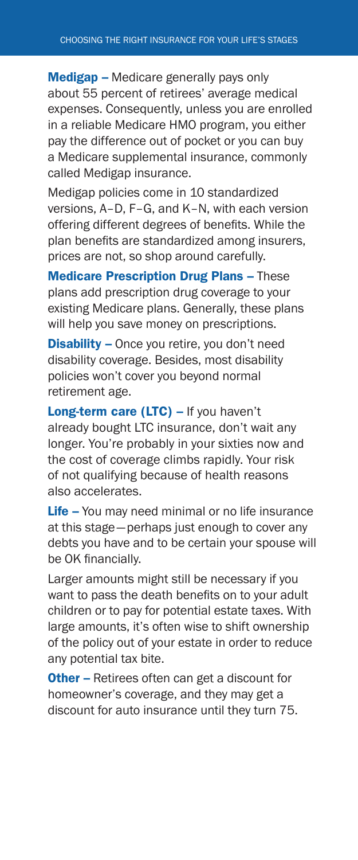**Medigap –** Medicare generally pays only about 55 percent of retirees' average medical expenses. Consequently, unless you are enrolled in a reliable Medicare HMO program, you either pay the difference out of pocket or you can buy a Medicare supplemental insurance, commonly called Medigap insurance.

Medigap policies come in 10 standardized versions, A–D, F–G, and K–N, with each version offering different degrees of benefits. While the plan benefits are standardized among insurers, prices are not, so shop around carefully.

**Medicare Prescription Drug Plans - These** plans add prescription drug coverage to your existing Medicare plans. Generally, these plans will help you save money on prescriptions.

**Disability - Once you retire, you don't need** disability coverage. Besides, most disability policies won't cover you beyond normal retirement age.

Long-term care (LTC) - If you haven't already bought LTC insurance, don't wait any longer. You're probably in your sixties now and the cost of coverage climbs rapidly. Your risk of not qualifying because of health reasons also accelerates.

Life – You may need minimal or no life insurance at this stage—perhaps just enough to cover any debts you have and to be certain your spouse will be OK financially.

Larger amounts might still be necessary if you want to pass the death benefits on to your adult children or to pay for potential estate taxes. With large amounts, it's often wise to shift ownership of the policy out of your estate in order to reduce any potential tax bite.

**Other** – Retirees often can get a discount for homeowner's coverage, and they may get a discount for auto insurance until they turn 75.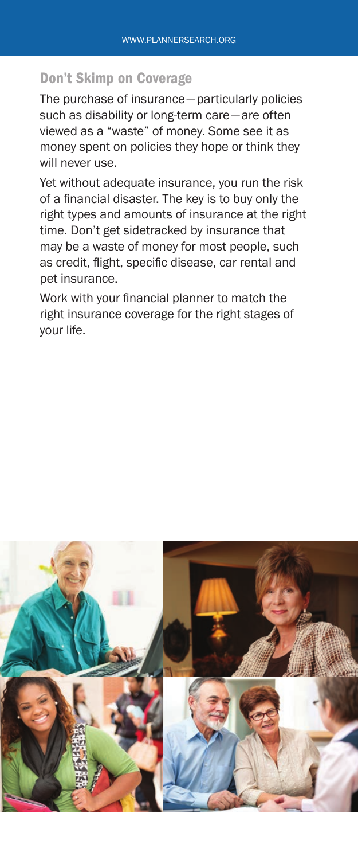#### Don't Skimp on Coverage

The purchase of insurance—particularly policies such as disability or long-term care—are often viewed as a "waste" of money. Some see it as money spent on policies they hope or think they will never use.

Yet without adequate insurance, you run the risk of a financial disaster. The key is to buy only the right types and amounts of insurance at the right time. Don't get sidetracked by insurance that may be a waste of money for most people, such as credit, flight, specific disease, car rental and pet insurance.

Work with your financial planner to match the right insurance coverage for the right stages of your life.

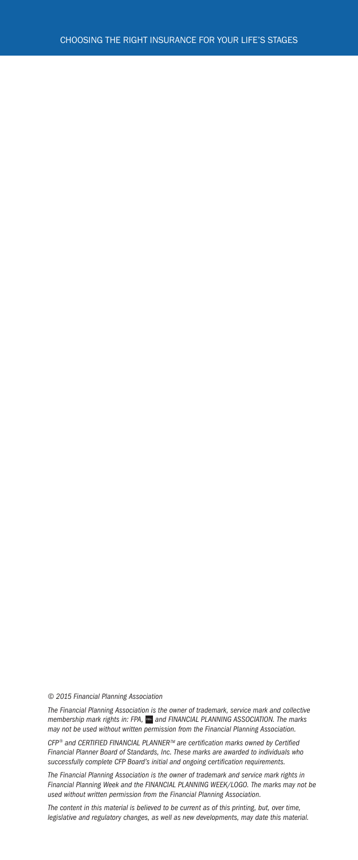© 2015 Financial Planning Association

The Financial Planning Association is the owner of trademark, service mark and collective membership mark rights in: FPA, was and FINANCIAL PLANNING ASSOCIATION. The marks may not be used without written permission from the Financial Planning Association.

CFP® and CERTIFIED FINANCIAL PLANNER™ are certification marks owned by Certified Financial Planner Board of Standards, Inc. These marks are awarded to individuals who successfully complete CFP Board's initial and ongoing certification requirements.

The Financial Planning Association is the owner of trademark and service mark rights in Financial Planning Week and the FINANCIAL PLANNING WEEK/LOGO. The marks may not be used without written permission from the Financial Planning Association.

The content in this material is believed to be current as of this printing, but, over time, legislative and regulatory changes, as well as new developments, may date this material.